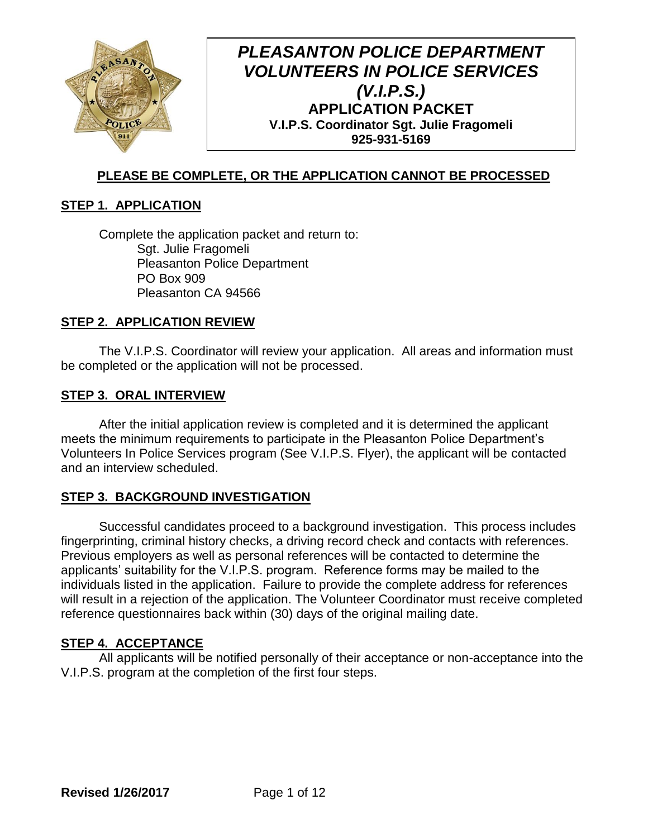

*PLEASANTON POLICE DEPARTMENT VOLUNTEERS IN POLICE SERVICES (V.I.P.S.)* **APPLICATION PACKET V.I.P.S. Coordinator Sgt. Julie Fragomeli 925-931-5169**

### **PLEASE BE COMPLETE, OR THE APPLICATION CANNOT BE PROCESSED**

### **STEP 1. APPLICATION**

Complete the application packet and return to: Sgt. Julie Fragomeli Pleasanton Police Department PO Box 909 Pleasanton CA 94566

### **STEP 2. APPLICATION REVIEW**

The V.I.P.S. Coordinator will review your application. All areas and information must be completed or the application will not be processed.

### **STEP 3. ORAL INTERVIEW**

After the initial application review is completed and it is determined the applicant meets the minimum requirements to participate in the Pleasanton Police Department's Volunteers In Police Services program (See V.I.P.S. Flyer), the applicant will be contacted and an interview scheduled.

### **STEP 3. BACKGROUND INVESTIGATION**

Successful candidates proceed to a background investigation. This process includes fingerprinting, criminal history checks, a driving record check and contacts with references. Previous employers as well as personal references will be contacted to determine the applicants' suitability for the V.I.P.S. program. Reference forms may be mailed to the individuals listed in the application. Failure to provide the complete address for references will result in a rejection of the application. The Volunteer Coordinator must receive completed reference questionnaires back within (30) days of the original mailing date.

#### **STEP 4. ACCEPTANCE**

All applicants will be notified personally of their acceptance or non-acceptance into the V.I.P.S. program at the completion of the first four steps.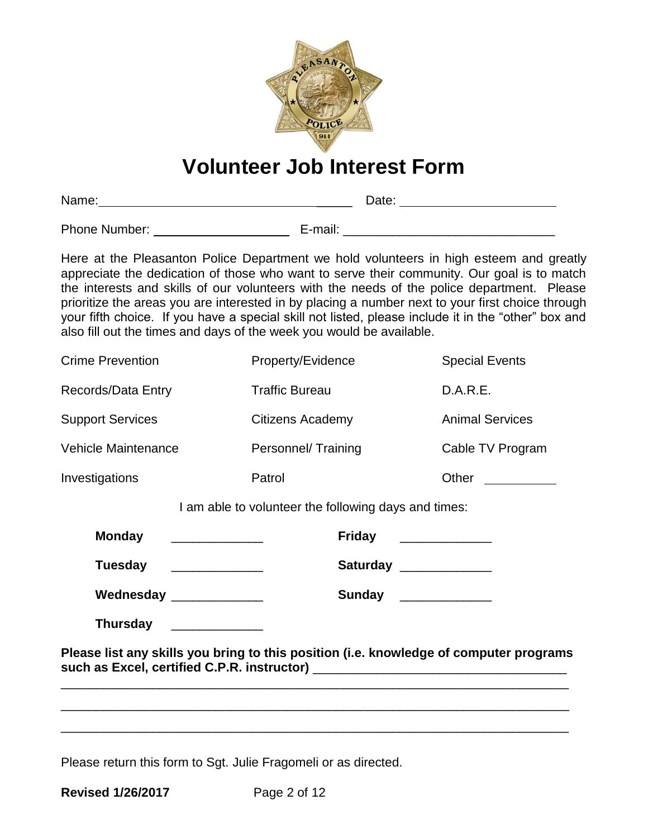

# **Volunteer Job Interest Form**

| Name: | Date: |
|-------|-------|
|       |       |

Phone Number: E-mail: \_\_\_\_\_\_\_\_\_\_\_\_\_\_\_\_\_\_\_\_\_\_\_\_\_\_\_\_\_\_

Here at the Pleasanton Police Department we hold volunteers in high esteem and greatly appreciate the dedication of those who want to serve their community. Our goal is to match the interests and skills of our volunteers with the needs of the police department. Please prioritize the areas you are interested in by placing a number next to your first choice through your fifth choice. If you have a special skill not listed, please include it in the "other" box and also fill out the times and days of the week you would be available.

| <b>Crime Prevention</b>                                                                                                               | Property/Evidence                                                                      | <b>Special Events</b>                   |
|---------------------------------------------------------------------------------------------------------------------------------------|----------------------------------------------------------------------------------------|-----------------------------------------|
| Records/Data Entry                                                                                                                    | <b>Traffic Bureau</b>                                                                  | D.A.R.E.                                |
| <b>Support Services</b>                                                                                                               | <b>Citizens Academy</b>                                                                | <b>Animal Services</b>                  |
| Vehicle Maintenance                                                                                                                   | Personnel/Training                                                                     | Cable TV Program                        |
| Investigations                                                                                                                        | Patrol                                                                                 | Other __________                        |
|                                                                                                                                       | I am able to volunteer the following days and times:                                   |                                         |
| <b>Monday</b><br><u> 1990 - Johann John Harry Harry Harry Harry Harry Harry Harry Harry Harry Harry Harry Harry Harry Harry Harry</u> | <b>Friday</b>                                                                          | <u> 1990 - Johann Barbara, martin a</u> |
| <b>Tuesday</b>                                                                                                                        | Saturday ______________                                                                |                                         |
| Wednesday _____________                                                                                                               | Sunday _____________                                                                   |                                         |
| Thursday _____________                                                                                                                |                                                                                        |                                         |
|                                                                                                                                       | Please list any skills you bring to this position (i.e. knowledge of computer programs |                                         |
|                                                                                                                                       |                                                                                        |                                         |
|                                                                                                                                       |                                                                                        |                                         |

Please return this form to Sgt. Julie Fragomeli or as directed.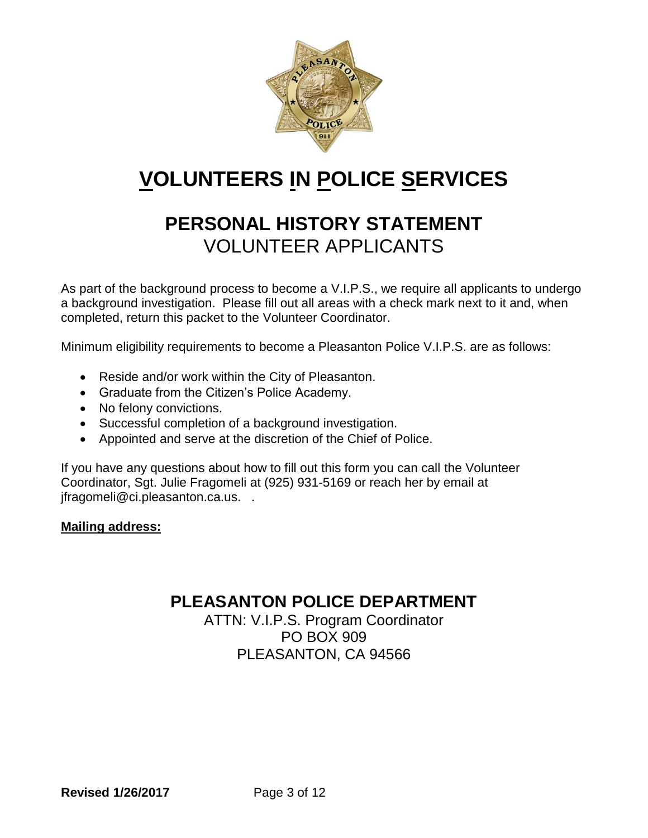

# **VOLUNTEERS IN POLICE SERVICES**

## **PERSONAL HISTORY STATEMENT**  VOLUNTEER APPLICANTS

As part of the background process to become a V.I.P.S., we require all applicants to undergo a background investigation. Please fill out all areas with a check mark next to it and, when completed, return this packet to the Volunteer Coordinator.

Minimum eligibility requirements to become a Pleasanton Police V.I.P.S. are as follows:

- Reside and/or work within the City of Pleasanton.
- Graduate from the Citizen's Police Academy.
- No felony convictions.
- Successful completion of a background investigation.
- Appointed and serve at the discretion of the Chief of Police.

If you have any questions about how to fill out this form you can call the Volunteer Coordinator, Sgt. Julie Fragomeli at (925) 931-5169 or reach her by email at jfragomeli@ci.pleasanton.ca.us. .

#### **Mailing address:**

### **PLEASANTON POLICE DEPARTMENT**

ATTN: V.I.P.S. Program Coordinator PO BOX 909 PLEASANTON, CA 94566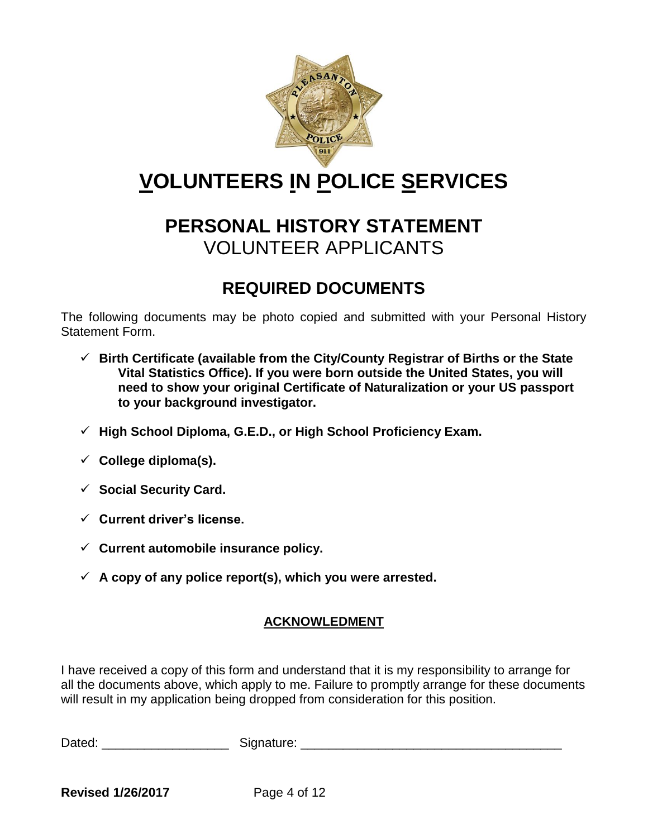

# **VOLUNTEERS IN POLICE SERVICES**

# **PERSONAL HISTORY STATEMENT**  VOLUNTEER APPLICANTS

### **REQUIRED DOCUMENTS**

The following documents may be photo copied and submitted with your Personal History Statement Form.

- **Birth Certificate (available from the City/County Registrar of Births or the State Vital Statistics Office). If you were born outside the United States, you will need to show your original Certificate of Naturalization or your US passport to your background investigator.**
- **High School Diploma, G.E.D., or High School Proficiency Exam.**
- **College diploma(s).**
- **Social Security Card.**
- **Current driver's license.**
- **Current automobile insurance policy.**
- $\checkmark$  A copy of any police report(s), which you were arrested.

### **ACKNOWLEDMENT**

I have received a copy of this form and understand that it is my responsibility to arrange for all the documents above, which apply to me. Failure to promptly arrange for these documents will result in my application being dropped from consideration for this position.

Dated: \_\_\_\_\_\_\_\_\_\_\_\_\_\_\_\_\_\_ Signature: \_\_\_\_\_\_\_\_\_\_\_\_\_\_\_\_\_\_\_\_\_\_\_\_\_\_\_\_\_\_\_\_\_\_\_\_\_

**Revised 1/26/2017** Page 4 of 12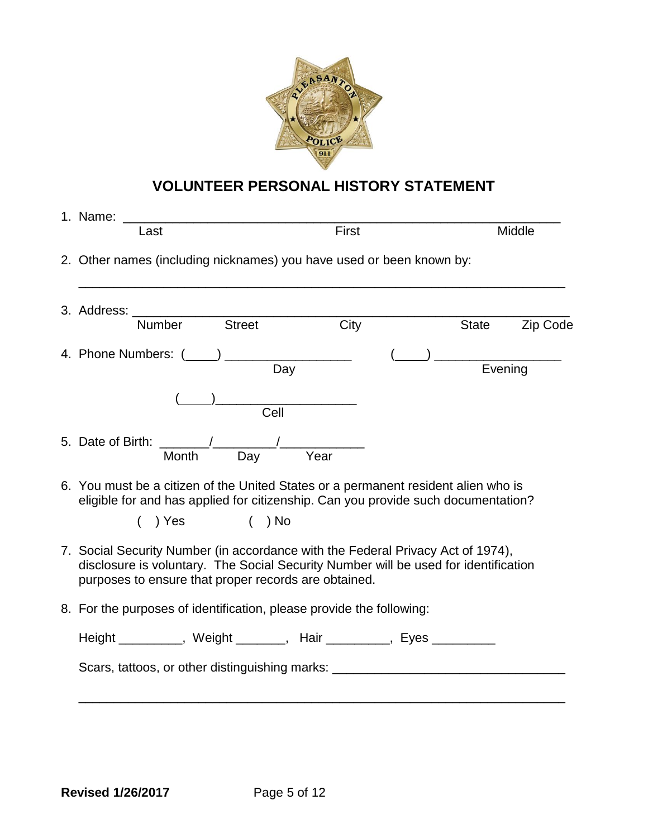

### **VOLUNTEER PERSONAL HISTORY STATEMENT**

| 1. Name:                                                                                                                                                                                                                                                                         |
|----------------------------------------------------------------------------------------------------------------------------------------------------------------------------------------------------------------------------------------------------------------------------------|
| First<br>Middle<br>Last                                                                                                                                                                                                                                                          |
| 2. Other names (including nicknames) you have used or been known by:                                                                                                                                                                                                             |
| 3. Address: The Contract of the Contract of the Contract of the Contract of the Contract of the Contract of the Contract of the Contract of the Contract of the Contract of the Contract of the Contract of the Contract of th<br>Number Street<br>City<br>State <b>Zip Code</b> |
| $\frac{(\_)}{\_}$ Evening<br>Day                                                                                                                                                                                                                                                 |
| Cell                                                                                                                                                                                                                                                                             |
| 5. Date of Birth: $\frac{1}{x}$ Month Day Year                                                                                                                                                                                                                                   |
| 6. You must be a citizen of the United States or a permanent resident alien who is<br>eligible for and has applied for citizenship. Can you provide such documentation?<br>$( )$ Yes $( )$ No                                                                                    |
| 7. Social Security Number (in accordance with the Federal Privacy Act of 1974),<br>disclosure is voluntary. The Social Security Number will be used for identification<br>purposes to ensure that proper records are obtained.                                                   |
| 8. For the purposes of identification, please provide the following:                                                                                                                                                                                                             |
| Height __________, Weight _______, Hair _________, Eyes _________                                                                                                                                                                                                                |
| Scars, tattoos, or other distinguishing marks: _________________________________                                                                                                                                                                                                 |
|                                                                                                                                                                                                                                                                                  |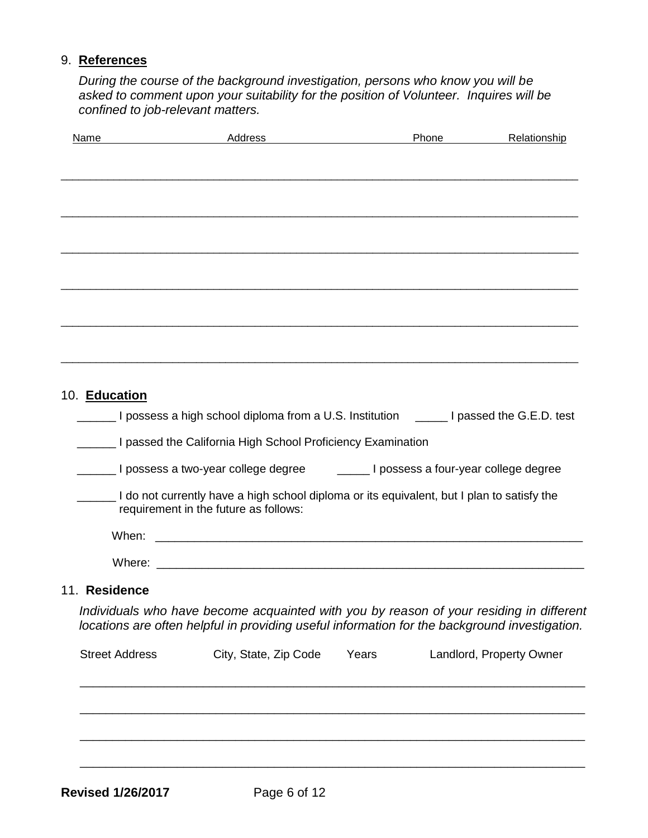### 9. **References**

 *During the course of the background investigation, persons who know you will be asked to comment upon your suitability for the position of Volunteer. Inquires will be confined to job-relevant matters.*

| Name                  |                                                                                                                                                                                          | <b>Phone Contract Phone</b> | Relationship             |
|-----------------------|------------------------------------------------------------------------------------------------------------------------------------------------------------------------------------------|-----------------------------|--------------------------|
|                       |                                                                                                                                                                                          |                             |                          |
|                       |                                                                                                                                                                                          |                             |                          |
|                       |                                                                                                                                                                                          |                             |                          |
|                       |                                                                                                                                                                                          |                             |                          |
|                       |                                                                                                                                                                                          |                             |                          |
|                       |                                                                                                                                                                                          |                             |                          |
|                       |                                                                                                                                                                                          |                             |                          |
|                       |                                                                                                                                                                                          |                             |                          |
|                       |                                                                                                                                                                                          |                             |                          |
|                       |                                                                                                                                                                                          |                             |                          |
| 10. Education         |                                                                                                                                                                                          |                             |                          |
|                       | Lettimation 1 possess a high school diploma from a U.S. Institution Lettiman 1 passed the G.E.D. test                                                                                    |                             |                          |
|                       | Lettify 1 passed the California High School Proficiency Examination                                                                                                                      |                             |                          |
|                       | Let possess a two-year college degree and controll possess a four-year college degree                                                                                                    |                             |                          |
|                       | Let not currently have a high school diploma or its equivalent, but I plan to satisfy the<br>requirement in the future as follows:                                                       |                             |                          |
| When:                 |                                                                                                                                                                                          |                             |                          |
|                       |                                                                                                                                                                                          |                             |                          |
| 11. Residence         |                                                                                                                                                                                          |                             |                          |
|                       | Individuals who have become acquainted with you by reason of your residing in different<br>locations are often helpful in providing useful information for the background investigation. |                             |                          |
| <b>Street Address</b> | City, State, Zip Code                                                                                                                                                                    | Years                       | Landlord, Property Owner |
|                       |                                                                                                                                                                                          |                             |                          |
|                       |                                                                                                                                                                                          |                             |                          |
|                       |                                                                                                                                                                                          |                             |                          |
|                       |                                                                                                                                                                                          |                             |                          |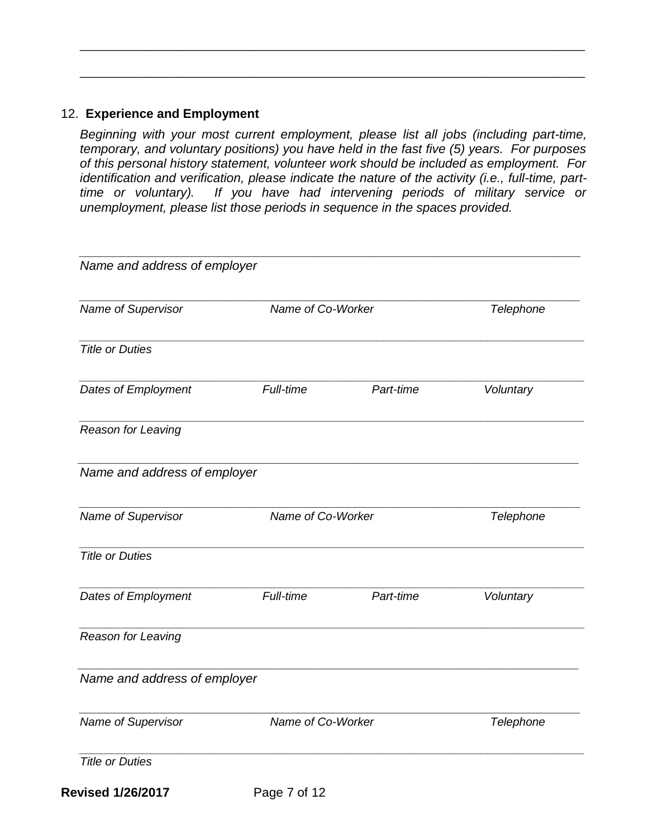### 12. **Experience and Employment**

*Beginning with your most current employment, please list all jobs (including part-time, temporary, and voluntary positions) you have held in the fast five (5) years. For purposes of this personal history statement, volunteer work should be included as employment. For identification and verification, please indicate the nature of the activity (i.e., full-time, parttime or voluntary). If you have had intervening periods of military service or unemployment, please list those periods in sequence in the spaces provided.*

\_\_\_\_\_\_\_\_\_\_\_\_\_\_\_\_\_\_\_\_\_\_\_\_\_\_\_\_\_\_\_\_\_\_\_\_\_\_\_\_\_\_\_\_\_\_\_\_\_\_\_\_\_\_\_\_\_\_\_\_\_\_\_\_\_\_\_\_\_\_\_\_\_\_\_\_\_\_

\_\_\_\_\_\_\_\_\_\_\_\_\_\_\_\_\_\_\_\_\_\_\_\_\_\_\_\_\_\_\_\_\_\_\_\_\_\_\_\_\_\_\_\_\_\_\_\_\_\_\_\_\_\_\_\_\_\_\_\_\_\_\_\_\_\_\_\_\_\_\_\_\_\_\_\_\_\_

| Name of Supervisor           | Name of Co-Worker |           | Telephone |
|------------------------------|-------------------|-----------|-----------|
| <b>Title or Duties</b>       |                   |           |           |
| Dates of Employment          | Full-time         | Part-time | Voluntary |
| Reason for Leaving           |                   |           |           |
| Name and address of employer |                   |           |           |
| Name of Supervisor           | Name of Co-Worker |           | Telephone |
| <b>Title or Duties</b>       |                   |           |           |
| <b>Dates of Employment</b>   | Full-time         | Part-time | Voluntary |
| Reason for Leaving           |                   |           |           |
| Name and address of employer |                   |           |           |
| Name of Supervisor           | Name of Co-Worker |           | Telephone |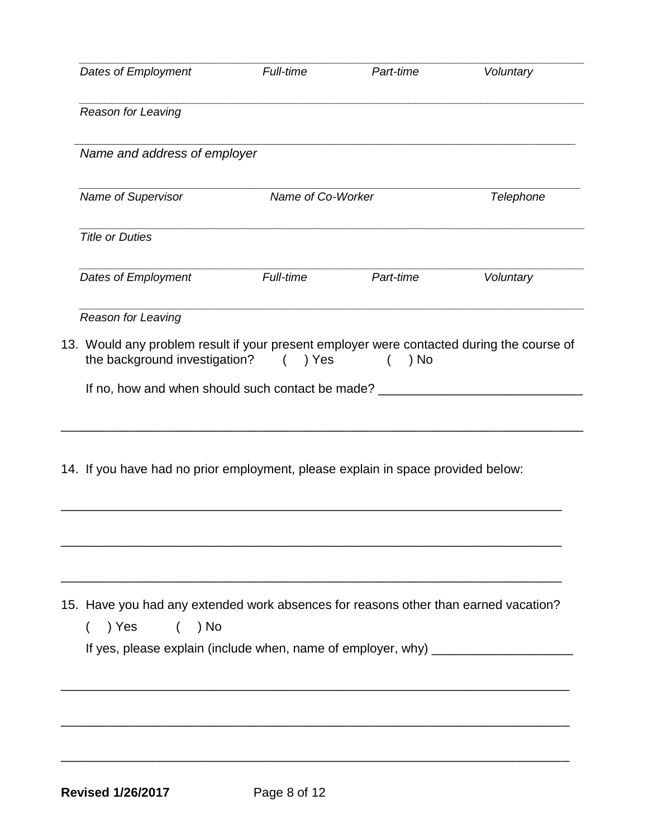| Dates of Employment                                                                                                                                                                          | Full-time         | Part-time | Voluntary |
|----------------------------------------------------------------------------------------------------------------------------------------------------------------------------------------------|-------------------|-----------|-----------|
| <b>Reason for Leaving</b>                                                                                                                                                                    |                   |           |           |
| Name and address of employer                                                                                                                                                                 |                   |           |           |
| Name of Supervisor                                                                                                                                                                           | Name of Co-Worker |           | Telephone |
| <b>Title or Duties</b>                                                                                                                                                                       |                   |           |           |
| Dates of Employment                                                                                                                                                                          | Full-time         | Part-time | Voluntary |
| <b>Reason for Leaving</b>                                                                                                                                                                    |                   |           |           |
| 13. Would any problem result if your present employer were contacted during the course of<br>the background investigation? () Yes                                                            |                   | ) No      |           |
| If no, how and when should such contact be made? _______________________________                                                                                                             |                   |           |           |
| 14. If you have had no prior employment, please explain in space provided below:                                                                                                             |                   |           |           |
|                                                                                                                                                                                              |                   |           |           |
| 15. Have you had any extended work absences for reasons other than earned vacation?<br>$( )$ No<br>) Yes<br>If yes, please explain (include when, name of employer, why) ___________________ |                   |           |           |
|                                                                                                                                                                                              |                   |           |           |
|                                                                                                                                                                                              |                   |           |           |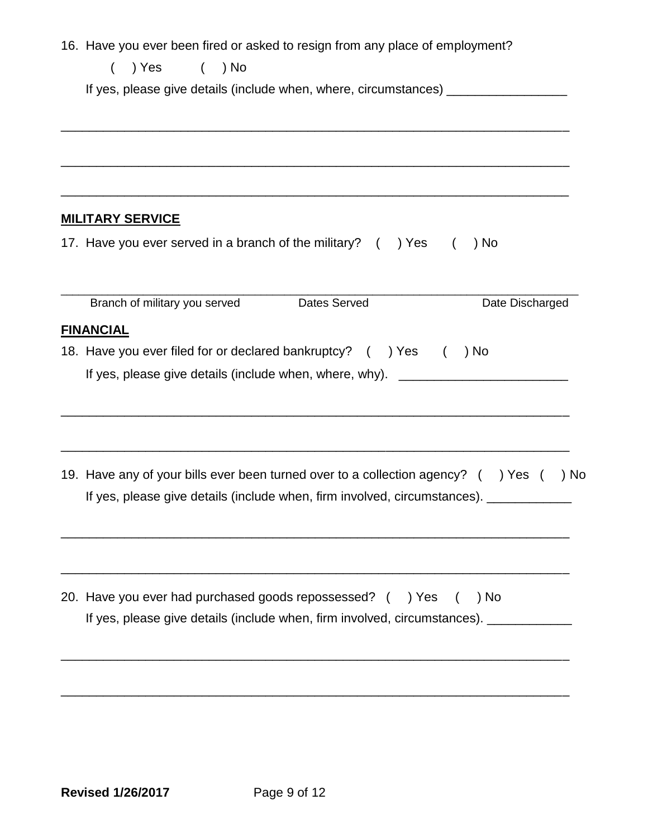| 16. Have you ever been fired or asked to resign from any place of employment?<br>$( )$ No<br>( ) Yes<br>If yes, please give details (include when, where, circumstances) _______________<br><u> 1989 - Johann Stoff, deutscher Stoff, der Stoff, der Stoff, der Stoff, der Stoff, der Stoff, der Stoff, der S</u> |
|-------------------------------------------------------------------------------------------------------------------------------------------------------------------------------------------------------------------------------------------------------------------------------------------------------------------|
| <b>MILITARY SERVICE</b>                                                                                                                                                                                                                                                                                           |
| 17. Have you ever served in a branch of the military? () Yes (<br>) No                                                                                                                                                                                                                                            |
| Branch of military you served<br>Dates Served<br>Date Discharged                                                                                                                                                                                                                                                  |
| <b>FINANCIAL</b>                                                                                                                                                                                                                                                                                                  |
| 18. Have you ever filed for or declared bankruptcy? () Yes (<br>)No                                                                                                                                                                                                                                               |
| If yes, please give details (include when, where, why). ________________________                                                                                                                                                                                                                                  |
| 19. Have any of your bills ever been turned over to a collection agency? () Yes (<br>) No<br>If yes, please give details (include when, firm involved, circumstances). _____________                                                                                                                              |
| 20. Have you ever had purchased goods repossessed? (<br>) Yes<br>) No<br>If yes, please give details (include when, firm involved, circumstances). __________                                                                                                                                                     |
|                                                                                                                                                                                                                                                                                                                   |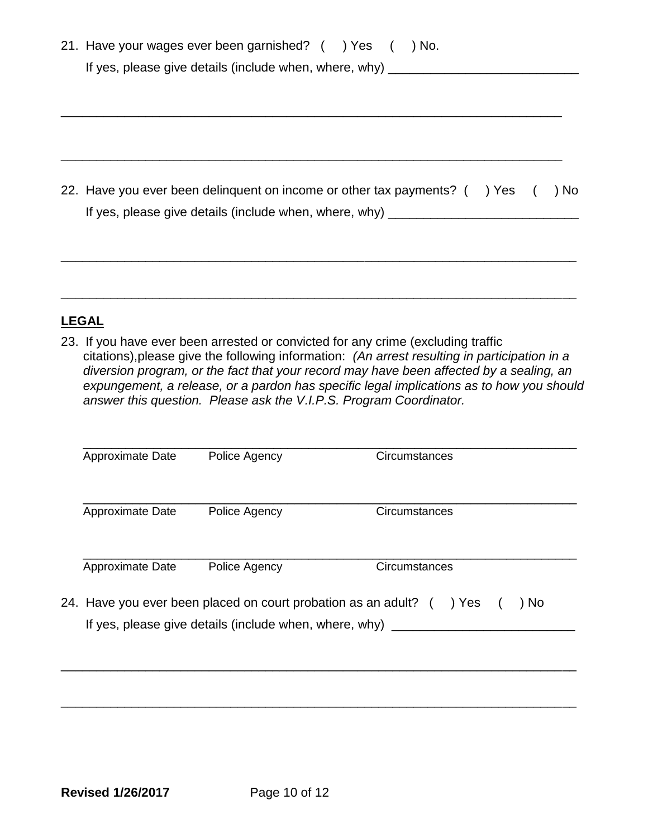| 21. Have your wages ever been garnished? () Yes (<br>) No.                          |
|-------------------------------------------------------------------------------------|
| If yes, please give details (include when, where, why) _______                      |
|                                                                                     |
|                                                                                     |
|                                                                                     |
| 22. Have you ever been delinquent on income or other tax payments? () Yes (<br>) No |
| If yes, please give details (include when, where, why) _________________________    |
|                                                                                     |
|                                                                                     |

### **LEGAL**

23. If you have ever been arrested or convicted for any crime (excluding traffic citations),please give the following information: *(An arrest resulting in participation in a diversion program, or the fact that your record may have been affected by a sealing, an expungement, a release, or a pardon has specific legal implications as to how you should answer this question. Please ask the V.I.P.S. Program Coordinator.*

\_\_\_\_\_\_\_\_\_\_\_\_\_\_\_\_\_\_\_\_\_\_\_\_\_\_\_\_\_\_\_\_\_\_\_\_\_\_\_\_\_\_\_\_\_\_\_\_\_\_\_\_\_\_\_\_\_\_\_\_\_\_\_\_\_\_\_\_\_\_\_\_\_

| Approximate Date | Police Agency                                                                                                             | Circumstances |
|------------------|---------------------------------------------------------------------------------------------------------------------------|---------------|
| Approximate Date | Police Agency                                                                                                             | Circumstances |
| Approximate Date | Police Agency                                                                                                             | Circumstances |
|                  | 24. Have you ever been placed on court probation as an adult? (<br>If yes, please give details (include when, where, why) | ) Yes<br>) No |

\_\_\_\_\_\_\_\_\_\_\_\_\_\_\_\_\_\_\_\_\_\_\_\_\_\_\_\_\_\_\_\_\_\_\_\_\_\_\_\_\_\_\_\_\_\_\_\_\_\_\_\_\_\_\_\_\_\_\_\_\_\_\_\_\_\_\_\_\_\_\_\_\_

\_\_\_\_\_\_\_\_\_\_\_\_\_\_\_\_\_\_\_\_\_\_\_\_\_\_\_\_\_\_\_\_\_\_\_\_\_\_\_\_\_\_\_\_\_\_\_\_\_\_\_\_\_\_\_\_\_\_\_\_\_\_\_\_\_\_\_\_\_\_\_\_\_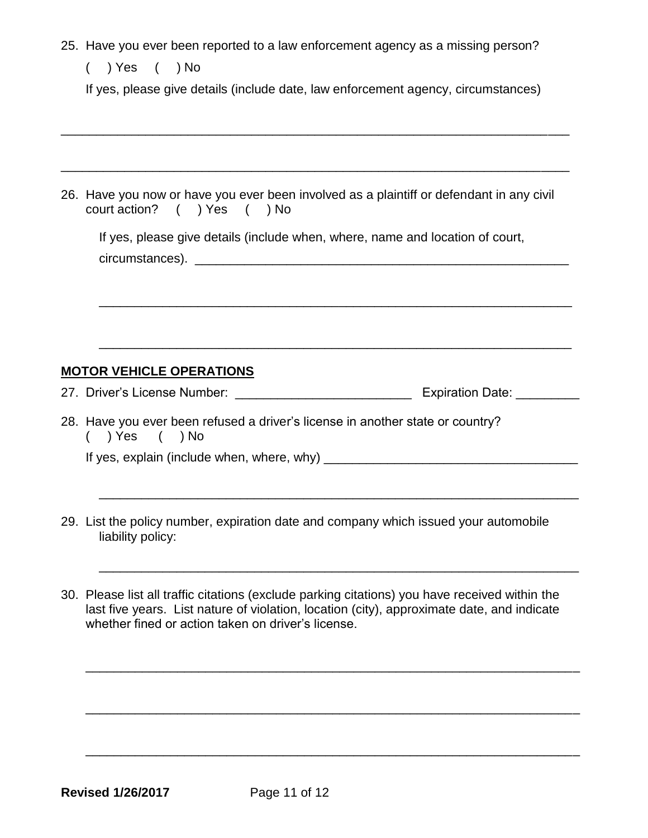25. Have you ever been reported to a law enforcement agency as a missing person?

( ) Yes ( ) No

If yes, please give details (include date, law enforcement agency, circumstances)

\_\_\_\_\_\_\_\_\_\_\_\_\_\_\_\_\_\_\_\_\_\_\_\_\_\_\_\_\_\_\_\_\_\_\_\_\_\_\_\_\_\_\_\_\_\_\_\_\_\_\_\_\_\_\_\_\_\_\_\_\_\_\_\_\_\_\_\_\_\_\_\_

\_\_\_\_\_\_\_\_\_\_\_\_\_\_\_\_\_\_\_\_\_\_\_\_\_\_\_\_\_\_\_\_\_\_\_\_\_\_\_\_\_\_\_\_\_\_\_\_\_\_\_\_\_\_\_\_\_\_\_\_\_\_\_\_\_\_\_\_\_\_\_\_

26. Have you now or have you ever been involved as a plaintiff or defendant in any civil court action? ( ) Yes ( ) No

|                 | If yes, please give details (include when, where, name and location of court, |  |
|-----------------|-------------------------------------------------------------------------------|--|
| circumstances). |                                                                               |  |

\_\_\_\_\_\_\_\_\_\_\_\_\_\_\_\_\_\_\_\_\_\_\_\_\_\_\_\_\_\_\_\_\_\_\_\_\_\_\_\_\_\_\_\_\_\_\_\_\_\_\_\_\_\_\_\_\_\_\_\_\_\_\_\_\_\_\_

\_\_\_\_\_\_\_\_\_\_\_\_\_\_\_\_\_\_\_\_\_\_\_\_\_\_\_\_\_\_\_\_\_\_\_\_\_\_\_\_\_\_\_\_\_\_\_\_\_\_\_\_\_\_\_\_\_\_\_\_\_\_\_\_\_\_\_

\_\_\_\_\_\_\_\_\_\_\_\_\_\_\_\_\_\_\_\_\_\_\_\_\_\_\_\_\_\_\_\_\_\_\_\_\_\_\_\_\_\_\_\_\_\_\_\_\_\_\_\_\_\_\_\_\_\_\_\_\_\_\_\_\_\_\_\_

\_\_\_\_\_\_\_\_\_\_\_\_\_\_\_\_\_\_\_\_\_\_\_\_\_\_\_\_\_\_\_\_\_\_\_\_\_\_\_\_\_\_\_\_\_\_\_\_\_\_\_\_\_\_\_\_\_\_\_\_\_\_\_\_\_\_\_\_

#### **MOTOR VEHICLE OPERATIONS**

| 27. Driver's License Number: | <b>Expiration Date:</b> |  |
|------------------------------|-------------------------|--|
|                              |                         |  |

28. Have you ever been refused a driver's license in another state or country? ( ) Yes ( ) No

If yes, explain (include when, where, why) \_\_\_\_\_\_\_\_\_\_\_\_\_\_\_\_\_\_\_\_\_\_\_\_\_\_\_\_\_\_\_\_\_\_\_\_

- 29. List the policy number, expiration date and company which issued your automobile liability policy:
- 30. Please list all traffic citations (exclude parking citations) you have received within the last five years. List nature of violation, location (city), approximate date, and indicate whether fined or action taken on driver's license.

 $\overline{\phantom{a}}$  , and the contribution of the contribution of the contribution of the contribution of the contribution of the contribution of the contribution of the contribution of the contribution of the contribution of the

\_\_\_\_\_\_\_\_\_\_\_\_\_\_\_\_\_\_\_\_\_\_\_\_\_\_\_\_\_\_\_\_\_\_\_\_\_\_\_\_\_\_\_\_\_\_\_\_\_\_\_\_\_\_\_\_\_\_\_\_\_\_\_\_\_\_\_\_\_\_

 $\overline{\phantom{a}}$  , and the contribution of the contribution of the contribution of the contribution of the contribution of the contribution of the contribution of the contribution of the contribution of the contribution of the